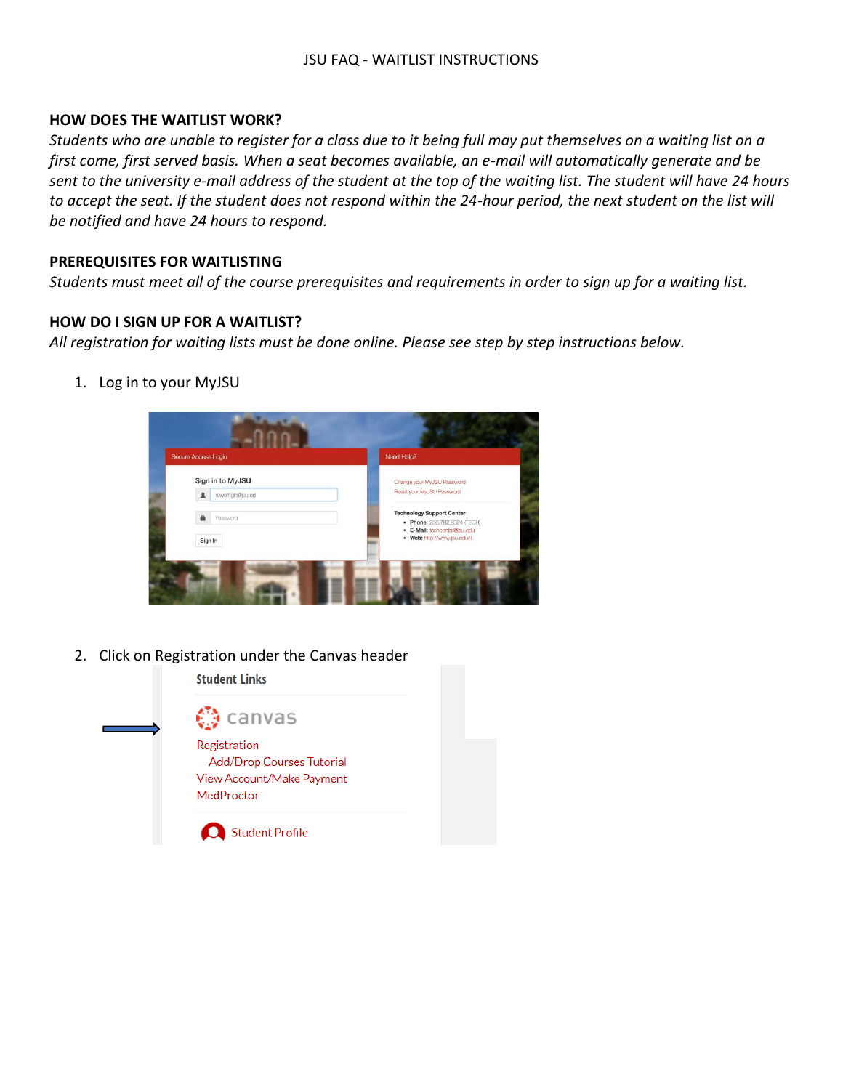# JSU FAQ - WAITLIST INSTRUCTIONS

## **HOW DOES THE WAITLIST WORK?**

*Students who are unable to register for a class due to it being full may put themselves on a waiting list on a first come, first served basis. When a seat becomes available, an e-mail will automatically generate and be sent to the university e-mail address of the student at the top of the waiting list. The student will have 24 hours*  to accept the seat. If the student does not respond within the 24-hour period, the next student on the list will *be notified and have 24 hours to respond.*

## **PREREQUISITES FOR WAITLISTING**

*Students must meet all of the course prerequisites and requirements in order to sign up for a waiting list.*

## **HOW DO I SIGN UP FOR A WAITLIST?**

*All registration for waiting lists must be done online. Please see step by step instructions below.*

1. Log in to your MyJSU



2. Click on Registration under the Canvas header

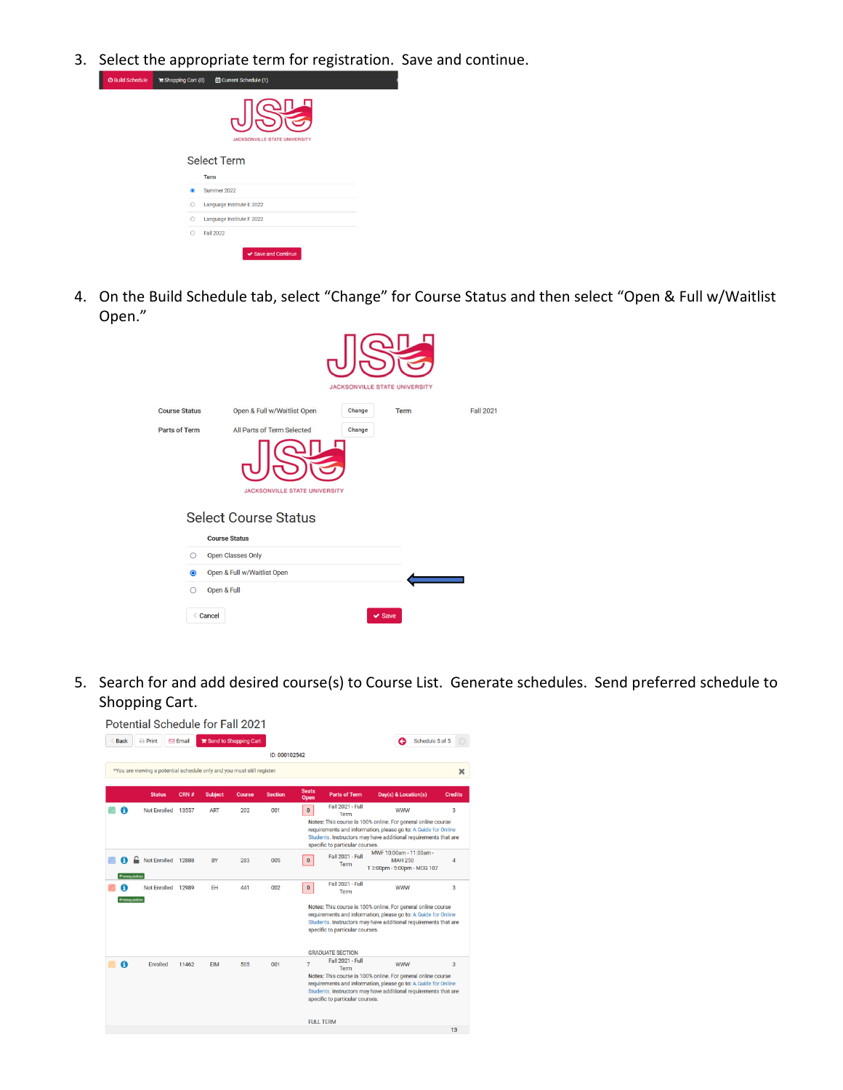3. Select the appropriate term for registration. Save and continue.

| opping Cart (0) | <b>di</b> Current Schedule (1)            |
|-----------------|-------------------------------------------|
|                 | 心<br><b>JACKSONVILLE STATE UNIVERSITY</b> |
|                 | <b>Select Term</b><br>Term                |
|                 | Summer 2022                               |
|                 |                                           |
| O               | Language Institute E 2022                 |
| $\bigcirc$      | Language Institute F 2022                 |
| $\bigcirc$      | Fall 2022                                 |
|                 | ✔ Save and Continue                       |

4. On the Build Schedule tab, select "Change" for Course Status and then select "Open & Full w/Waitlist Open."

|                      |            |                                                                     | <b>JACKSONVILLE STATE UNIVERSITY</b> |             |                  |
|----------------------|------------|---------------------------------------------------------------------|--------------------------------------|-------------|------------------|
| <b>Course Status</b> |            | Open & Full w/Waitlist Open                                         | Change                               | Term        | <b>Fall 2021</b> |
| Parts of Term        |            | All Parts of Term Selected                                          | Change                               |             |                  |
|                      |            | <b>JACKSONVILLE STATE UNIVERSITY</b><br><b>Select Course Status</b> |                                      |             |                  |
|                      | $\circ$    | <b>Course Status</b><br><b>Open Classes Only</b>                    |                                      |             |                  |
|                      | $\bullet$  | Open & Full w/Waitlist Open                                         |                                      |             |                  |
|                      | $\bigcirc$ | Open & Full                                                         |                                      |             |                  |
|                      |            | <b>Cancel</b>                                                       |                                      | $\vee$ Save |                  |

5. Search for and add desired course(s) to Course List. Generate schedules. Send preferred schedule to Shopping Cart.

|               | Potential Schedule for Fall 2021                                        |                 |                |                       |                |                                    |                                                                                               |                                                                                                                                                                                                                 |                |
|---------------|-------------------------------------------------------------------------|-----------------|----------------|-----------------------|----------------|------------------------------------|-----------------------------------------------------------------------------------------------|-----------------------------------------------------------------------------------------------------------------------------------------------------------------------------------------------------------------|----------------|
| <b>Back</b>   | $\ominus$ Print                                                         | $\boxdot$ Email |                | Send to Shopping Cart |                |                                    |                                                                                               | Schedule 5 of 5                                                                                                                                                                                                 |                |
|               |                                                                         |                 |                |                       | ID: 000102542  |                                    |                                                                                               |                                                                                                                                                                                                                 |                |
|               | *You are viewing a potential schedule only and you must still register. |                 |                |                       |                |                                    |                                                                                               |                                                                                                                                                                                                                 | ×              |
|               | <b>Status</b>                                                           | $CRN \neq$      | <b>Subject</b> | Course                | <b>Section</b> | <b>Seats</b><br>Open               | <b>Parts of Term</b>                                                                          | Day(s) & Location(s)                                                                                                                                                                                            | <b>Credits</b> |
| A             | <b>Not Enrolled</b>                                                     | 13557           | <b>ART</b>     | 202                   | 001            | $\bullet$                          | <b>Fall 2021 - Full</b><br>Term<br>specific to particular courses.                            | <b>WWW</b><br>Notes: This course is 100% online. For general online course<br>requirements and information, please go to: A Guide for Online<br>Students, Instructors may have additional requirements that are | 3              |
| Prerequisites | Not Enrolled 12888                                                      |                 | BY             | 283                   | 005            | $\mathbf 0$                        | <b>Fall 2021 - Full</b><br>Term                                                               | MWF 10:00am - 11:00am -<br><b>MAH 250</b><br>T 3:00pm - 5:00pm - MCG 107                                                                                                                                        | $\overline{4}$ |
| Prerequisites | Not Enrolled                                                            | 12989           | <b>FH</b>      | 441                   | 002            | $\mathbf 0$                        | <b>Fall 2021 - Full</b><br>Term<br>specific to particular courses.<br><b>GRADUATE SECTION</b> | <b>WWW</b><br>Notes: This course is 100% online. For general online course<br>requirements and information, please go to: A Guide for Online<br>Students. Instructors may have additional requirements that are | 3              |
| A             | Enrolled                                                                | 11462           | <b>EIM</b>     | 505                   | 001            | $\overline{7}$<br><b>FULL TERM</b> | <b>Fall 2021 - Full</b><br>Term<br>specific to particular courses.                            | <b>WWW</b><br>Notes: This course is 100% online. For general online course<br>requirements and information, please go to: A Guide for Online<br>Students, Instructors may have additional requirements that are | 3              |
|               |                                                                         |                 |                |                       |                |                                    |                                                                                               |                                                                                                                                                                                                                 | 13             |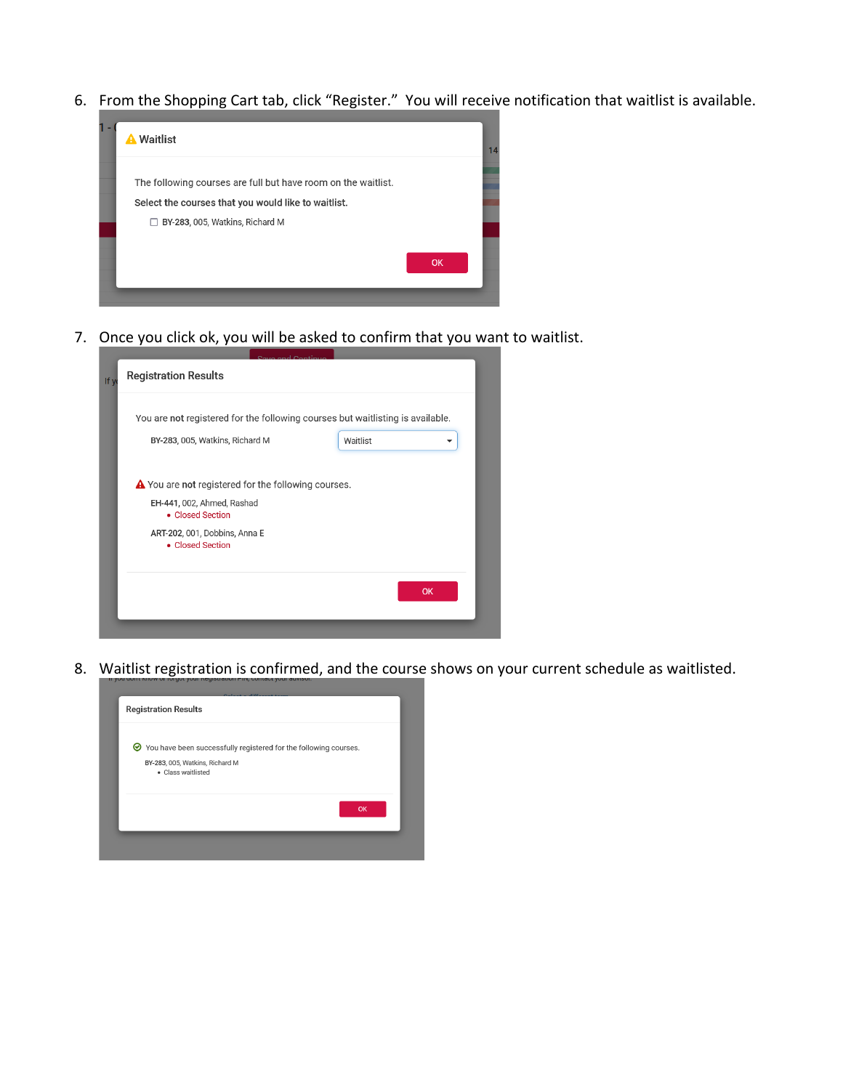6. From the Shopping Cart tab, click "Register." You will receive notification that waitlist is available.



7. Once you click ok, you will be asked to confirm that you want to waitlist.

| <b>Registration Results</b>                                                    |
|--------------------------------------------------------------------------------|
| You are not registered for the following courses but waitlisting is available. |
| BY-283, 005, Watkins, Richard M<br>Waitlist                                    |
| A You are not registered for the following courses.                            |
| EH-441, 002, Ahmed, Rashad<br>• Closed Section                                 |
| ART-202, 001, Dobbins, Anna E<br>• Closed Section                              |
|                                                                                |
| <b>OK</b>                                                                      |
|                                                                                |

8. Waitlist registration is confirmed, and the course shows on your current schedule as waitlisted.

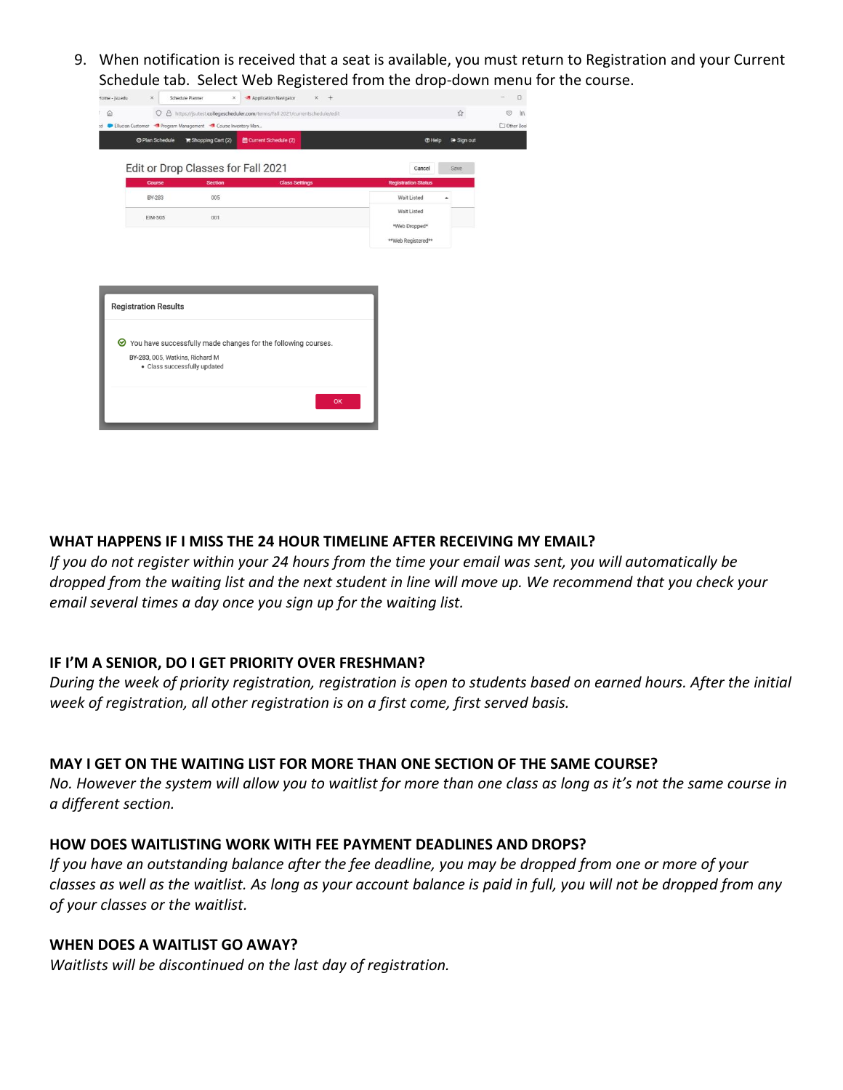9. When notification is received that a seat is available, you must return to Registration and your Current Schedule tab. Select Web Registered from the drop-down menu for the course.

| Home - jsuedu | ×<br>Schedule Planner                                           |                   | ×<br>Application Navigator                                                  | $\times$<br>$+$ |                            |                |            |
|---------------|-----------------------------------------------------------------|-------------------|-----------------------------------------------------------------------------|-----------------|----------------------------|----------------|------------|
| 6             | $\circ$                                                         |                   | A https://jsutest.collegescheduler.com/terms/Fall 2021/currentschedule/edit |                 |                            | $\vec{\Sigma}$ | $\odot$    |
|               | Ellucian Customer Program Management Course Inventory Man       |                   |                                                                             |                 |                            |                | Other Bool |
|               | © Plan Schedule                                                 | Shopping Cart (2) | til Current Schedule (2)                                                    |                 | <b>THelp</b>               | Sign out       |            |
|               |                                                                 |                   |                                                                             |                 |                            |                |            |
|               | Edit or Drop Classes for Fall 2021                              |                   |                                                                             |                 | Cancel                     | Save           |            |
|               | Course                                                          | <b>Section</b>    | <b>Class Settings</b>                                                       |                 | <b>Registration Status</b> |                |            |
|               | BY-283                                                          | 005               |                                                                             |                 | Wait Listed                |                |            |
|               | EIM-505                                                         | 001               |                                                                             |                 | Wait Listed                |                |            |
|               |                                                                 |                   |                                                                             |                 | *Web Dropped*              |                |            |
|               |                                                                 |                   |                                                                             |                 |                            |                |            |
|               |                                                                 |                   |                                                                             |                 | **Web Registered**         |                |            |
| ◎             | <b>Registration Results</b>                                     |                   |                                                                             |                 |                            |                |            |
|               | BY-283, 005, Watkins, Richard M<br>· Class successfully updated |                   | You have successfully made changes for the following courses.               |                 |                            |                |            |

## **WHAT HAPPENS IF I MISS THE 24 HOUR TIMELINE AFTER RECEIVING MY EMAIL?**

*If you do not register within your 24 hours from the time your email was sent, you will automatically be dropped from the waiting list and the next student in line will move up. We recommend that you check your email several times a day once you sign up for the waiting list.*

#### **IF I'M A SENIOR, DO I GET PRIORITY OVER FRESHMAN?**

*During the week of priority registration, registration is open to students based on earned hours. After the initial week of registration, all other registration is on a first come, first served basis.*

#### **MAY I GET ON THE WAITING LIST FOR MORE THAN ONE SECTION OF THE SAME COURSE?**

*No. However the system will allow you to waitlist for more than one class as long as it's not the same course in a different section.*

## **HOW DOES WAITLISTING WORK WITH FEE PAYMENT DEADLINES AND DROPS?**

*If you have an outstanding balance after the fee deadline, you may be dropped from one or more of your classes as well as the waitlist. As long as your account balance is paid in full, you will not be dropped from any of your classes or the waitlist.* 

#### **WHEN DOES A WAITLIST GO AWAY?**

*Waitlists will be discontinued on the last day of registration.*